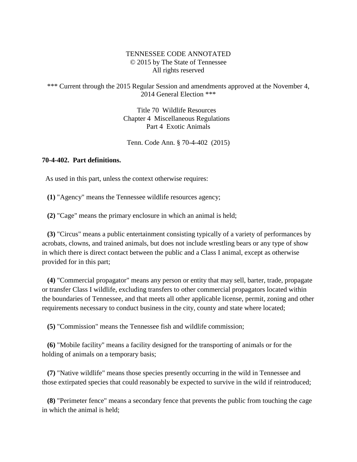## TENNESSEE CODE ANNOTATED © 2015 by The State of Tennessee All rights reserved

## \*\*\* Current through the 2015 Regular Session and amendments approved at the November 4, 2014 General Election \*\*\*

Title 70 Wildlife Resources Chapter 4 Miscellaneous Regulations Part 4 Exotic Animals

Tenn. Code Ann. § 70-4-402 (2015)

## **70-4-402. Part definitions.**

As used in this part, unless the context otherwise requires:

**(1)** "Agency" means the Tennessee wildlife resources agency;

**(2)** "Cage" means the primary enclosure in which an animal is held;

 **(3)** "Circus" means a public entertainment consisting typically of a variety of performances by acrobats, clowns, and trained animals, but does not include wrestling bears or any type of show in which there is direct contact between the public and a Class I animal, except as otherwise provided for in this part;

 **(4)** "Commercial propagator" means any person or entity that may sell, barter, trade, propagate or transfer Class I wildlife, excluding transfers to other commercial propagators located within the boundaries of Tennessee, and that meets all other applicable license, permit, zoning and other requirements necessary to conduct business in the city, county and state where located;

**(5)** "Commission" means the Tennessee fish and wildlife commission;

 **(6)** "Mobile facility" means a facility designed for the transporting of animals or for the holding of animals on a temporary basis;

 **(7)** "Native wildlife" means those species presently occurring in the wild in Tennessee and those extirpated species that could reasonably be expected to survive in the wild if reintroduced;

 **(8)** "Perimeter fence" means a secondary fence that prevents the public from touching the cage in which the animal is held;